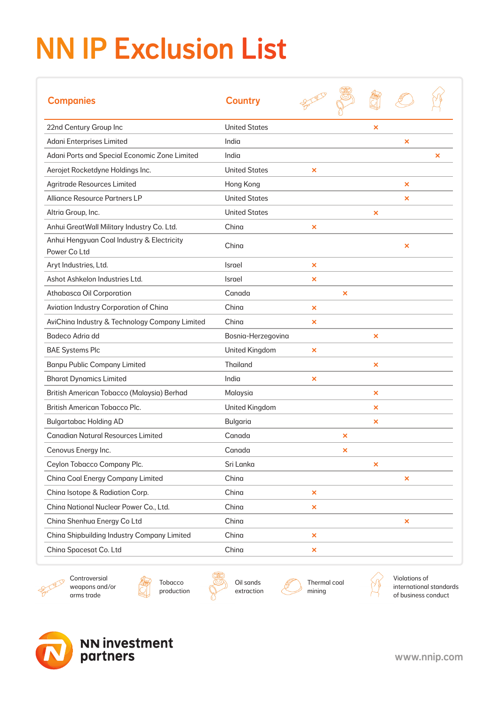## NN IP Exclusion List

| <b>Companies</b>                                           | <b>Country</b>        |                           |   |                           |                           |   |
|------------------------------------------------------------|-----------------------|---------------------------|---|---------------------------|---------------------------|---|
| 22nd Century Group Inc                                     | <b>United States</b>  |                           |   | $\boldsymbol{\mathsf{x}}$ |                           |   |
| Adani Enterprises Limited                                  | India                 |                           |   |                           | $\boldsymbol{\mathsf{x}}$ |   |
| Adani Ports and Special Economic Zone Limited              | India                 |                           |   |                           |                           | × |
| Aerojet Rocketdyne Holdings Inc.                           | <b>United States</b>  | ×                         |   |                           |                           |   |
| <b>Agritrade Resources Limited</b>                         | Hong Kong             |                           |   |                           | ×                         |   |
| Alliance Resource Partners LP                              | <b>United States</b>  |                           |   |                           | $\boldsymbol{\times}$     |   |
| Altria Group, Inc.                                         | <b>United States</b>  |                           |   | ×                         |                           |   |
| Anhui GreatWall Military Industry Co. Ltd.                 | China                 | $\boldsymbol{\mathsf{x}}$ |   |                           |                           |   |
| Anhui Hengyuan Coal Industry & Electricity<br>Power Co Ltd | China                 |                           |   |                           | $\boldsymbol{\mathsf{x}}$ |   |
| Aryt Industries, Ltd.                                      | Israel                | ×                         |   |                           |                           |   |
| Ashot Ashkelon Industries Ltd.                             | Israel                | ×                         |   |                           |                           |   |
| Athabasca Oil Corporation                                  | Canada                |                           | × |                           |                           |   |
| Aviation Industry Corporation of China                     | China                 | ×                         |   |                           |                           |   |
| AviChina Industry & Technology Company Limited             | China                 | ×                         |   |                           |                           |   |
| Badeco Adria dd                                            | Bosnia-Herzegovina    |                           |   | $\boldsymbol{\mathsf{x}}$ |                           |   |
| <b>BAE Systems Plc</b>                                     | United Kingdom        | ×                         |   |                           |                           |   |
| <b>Banpu Public Company Limited</b>                        | <b>Thailand</b>       |                           |   | ×                         |                           |   |
| <b>Bharat Dynamics Limited</b>                             | India                 | ×                         |   |                           |                           |   |
| British American Tobacco (Malaysia) Berhad                 | Malaysia              |                           |   | ×                         |                           |   |
| <b>British American Tobacco Plc.</b>                       | <b>United Kingdom</b> |                           |   | ×                         |                           |   |
| <b>Bulgartabac Holding AD</b>                              | <b>Bulgaria</b>       |                           |   | ×                         |                           |   |
| <b>Canadian Natural Resources Limited</b>                  | Canada                |                           | × |                           |                           |   |
| Cenovus Energy Inc.                                        | Canada                |                           | × |                           |                           |   |
| Ceylon Tobacco Company Plc.                                | Sri Lanka             |                           |   | ×                         |                           |   |
| China Coal Energy Company Limited                          | China                 |                           |   |                           | ×                         |   |
| China Isotope & Radiation Corp.                            | China                 | $\pmb{\times}$            |   |                           |                           |   |
| China National Nuclear Power Co., Ltd.                     | China                 | $\pmb{\times}$            |   |                           |                           |   |
| China Shenhua Energy Co Ltd                                | China                 |                           |   |                           | ×                         |   |
| China Shipbuilding Industry Company Limited                | China                 | ×                         |   |                           |                           |   |
| China Spacesat Co. Ltd                                     | China                 | ×                         |   |                           |                           |   |



Controversial weapons and/or arms trade





Oil sands extraction Thermal coal mining



Violations of international standards of business conduct



www.nnip.com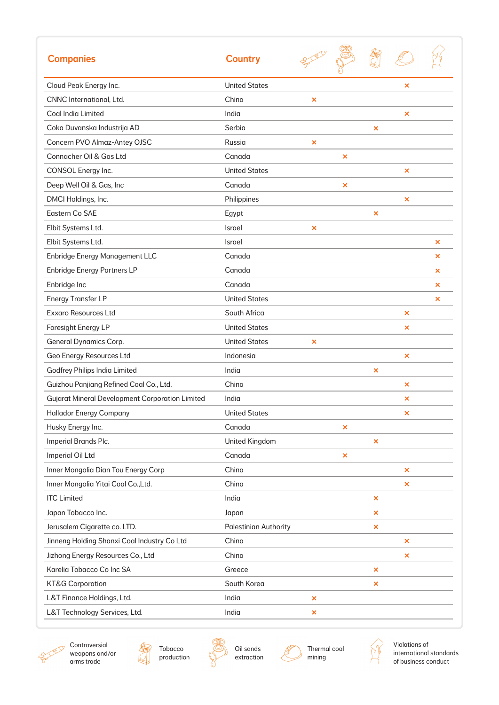| <b>Companies</b>                                       | <b>Country</b>               |                           |                           |                |                           |   |
|--------------------------------------------------------|------------------------------|---------------------------|---------------------------|----------------|---------------------------|---|
| Cloud Peak Energy Inc.                                 | <b>United States</b>         |                           |                           |                | $\boldsymbol{\mathsf{x}}$ |   |
| CNNC International, Ltd.                               | China                        | $\boldsymbol{\mathsf{x}}$ |                           |                |                           |   |
| Coal India Limited                                     | India                        |                           |                           |                | ×                         |   |
| Coka Duvanska Industrija AD                            | Serbia                       |                           |                           | ×              |                           |   |
| Concern PVO Almaz-Antey OJSC                           | Russia                       | ×                         |                           |                |                           |   |
| Connacher Oil & Gas Ltd                                | Canada                       |                           | ×                         |                |                           |   |
| CONSOL Energy Inc.                                     | <b>United States</b>         |                           |                           |                | ×                         |   |
| Deep Well Oil & Gas, Inc                               | Canada                       |                           | $\boldsymbol{\mathsf{x}}$ |                |                           |   |
| DMCI Holdings, Inc.                                    | Philippines                  |                           |                           |                | ×                         |   |
| Eastern Co SAE                                         | Egypt                        |                           |                           | ×              |                           |   |
| Elbit Systems Ltd.                                     | Israel                       | ×                         |                           |                |                           |   |
| Elbit Systems Ltd.                                     | Israel                       |                           |                           |                |                           | × |
| <b>Enbridge Energy Management LLC</b>                  | Canada                       |                           |                           |                |                           | × |
| <b>Enbridge Energy Partners LP</b>                     | Canada                       |                           |                           |                |                           | × |
| Enbridge Inc                                           | Canada                       |                           |                           |                |                           | × |
| <b>Energy Transfer LP</b>                              | <b>United States</b>         |                           |                           |                |                           | × |
| <b>Exxaro Resources Ltd</b>                            | South Africa                 |                           |                           |                | ×                         |   |
| Foresight Energy LP                                    | <b>United States</b>         |                           |                           |                | ×                         |   |
| General Dynamics Corp.                                 | <b>United States</b>         | ×                         |                           |                |                           |   |
| Geo Energy Resources Ltd                               | Indonesia                    |                           |                           |                | ×                         |   |
| Godfrey Philips India Limited                          | India                        |                           |                           | ×              |                           |   |
| Guizhou Panjiang Refined Coal Co., Ltd.                | China                        |                           |                           |                | ×                         |   |
| <b>Gujarat Mineral Development Corporation Limited</b> | India                        |                           |                           |                | ×                         |   |
| <b>Hallador Energy Company</b>                         | <b>United States</b>         |                           |                           |                | ×                         |   |
| Husky Energy Inc.                                      | Canada                       |                           | $\boldsymbol{\mathsf{x}}$ |                |                           |   |
| Imperial Brands Plc.                                   | United Kingdom               |                           |                           | $\pmb{\times}$ |                           |   |
| Imperial Oil Ltd                                       | Canada                       |                           | $\boldsymbol{\mathsf{x}}$ |                |                           |   |
| Inner Mongolia Dian Tou Energy Corp                    | China                        |                           |                           |                | ×                         |   |
| Inner Mongolia Yitai Coal Co., Ltd.                    | China                        |                           |                           |                | ×                         |   |
| <b>ITC Limited</b>                                     | India                        |                           |                           | ×              |                           |   |
| Japan Tobacco Inc.                                     | Japan                        |                           |                           | ×              |                           |   |
| Jerusalem Cigarette co. LTD.                           | <b>Palestinian Authority</b> |                           |                           | ×              |                           |   |
| Jinneng Holding Shanxi Coal Industry Co Ltd            | China                        |                           |                           |                | ×                         |   |
| Jizhong Energy Resources Co., Ltd                      | China                        |                           |                           |                | ×                         |   |
| Karelia Tobacco Co Inc SA                              | Greece                       |                           |                           | ×              |                           |   |
| <b>KT&amp;G Corporation</b>                            | South Korea                  |                           |                           | ×              |                           |   |
| L&T Finance Holdings, Ltd.                             | India                        | $\pmb{\times}$            |                           |                |                           |   |
| L&T Technology Services, Ltd.                          | India                        | ×                         |                           |                |                           |   |







Oil sands extraction Thermal coal mining

 $\mathscr{I}$ 



Violations of international standards of business conduct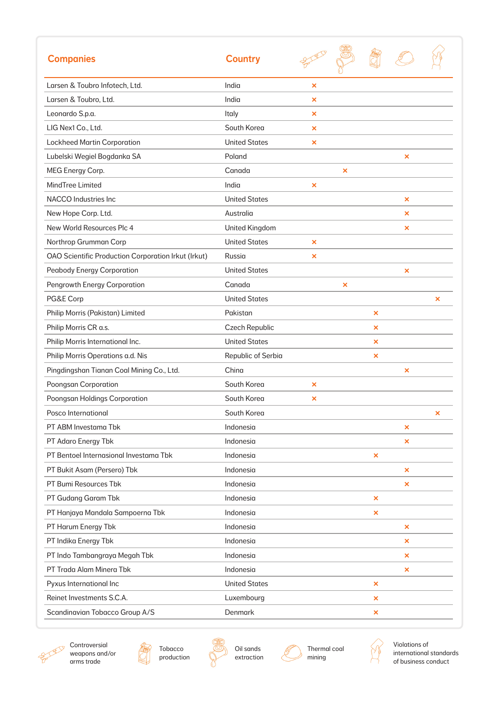| <b>Companies</b>                                           | <b>Country</b>       |                           |                           |   |                           |   |
|------------------------------------------------------------|----------------------|---------------------------|---------------------------|---|---------------------------|---|
| Larsen & Toubro Infotech, Ltd.                             | India                | $\boldsymbol{\mathsf{x}}$ |                           |   |                           |   |
| Larsen & Toubro, Ltd.                                      | India                | $\boldsymbol{\times}$     |                           |   |                           |   |
| Leonardo S.p.a.                                            | Italy                | ×                         |                           |   |                           |   |
| LIG Nex1 Co., Ltd.                                         | South Korea          | ×                         |                           |   |                           |   |
| <b>Lockheed Martin Corporation</b>                         | <b>United States</b> | ×                         |                           |   |                           |   |
| Lubelski Wegiel Bogdanka SA                                | Poland               |                           |                           |   | ×                         |   |
| MEG Energy Corp.                                           | Canada               |                           | $\boldsymbol{\mathsf{x}}$ |   |                           |   |
| MindTree Limited                                           | India                | $\boldsymbol{\mathsf{x}}$ |                           |   |                           |   |
| NACCO Industries Inc                                       | <b>United States</b> |                           |                           |   | ×                         |   |
| New Hope Corp. Ltd.                                        | Australia            |                           |                           |   | ×                         |   |
| New World Resources Plc 4                                  | United Kingdom       |                           |                           |   | ×                         |   |
| Northrop Grumman Corp                                      | <b>United States</b> | $\boldsymbol{\mathsf{x}}$ |                           |   |                           |   |
| <b>OAO Scientific Production Corporation Irkut (Irkut)</b> | Russia               | $\boldsymbol{\times}$     |                           |   |                           |   |
| <b>Peabody Energy Corporation</b>                          | <b>United States</b> |                           |                           |   | $\boldsymbol{\mathsf{x}}$ |   |
| Pengrowth Energy Corporation                               | Canada               |                           | ×                         |   |                           |   |
| PG&E Corp                                                  | <b>United States</b> |                           |                           |   |                           | × |
| Philip Morris (Pakistan) Limited                           | Pakistan             |                           |                           | × |                           |   |
| Philip Morris CR a.s.                                      | Czech Republic       |                           |                           | × |                           |   |
| Philip Morris International Inc.                           | <b>United States</b> |                           |                           | × |                           |   |
| Philip Morris Operations a.d. Nis                          | Republic of Serbia   |                           |                           | × |                           |   |
| Pingdingshan Tianan Coal Mining Co., Ltd.                  | China                |                           |                           |   | ×                         |   |
| Poongsan Corporation                                       | South Korea          | ×                         |                           |   |                           |   |
| Poongsan Holdings Corporation                              | South Korea          | ×                         |                           |   |                           |   |
| Posco International                                        | South Korea          |                           |                           |   |                           | × |
| PT ABM Investama Tbk                                       | Indonesia            |                           |                           |   | ×                         |   |
| PT Adaro Energy Tbk                                        | Indonesia            |                           |                           |   | $\boldsymbol{\mathsf{x}}$ |   |
| PT Bentoel Internasional Investama Tbk                     | Indonesia            |                           |                           | × |                           |   |
| PT Bukit Asam (Persero) Tbk                                | Indonesia            |                           |                           |   | $\pmb{\times}$            |   |
| PT Bumi Resources Tbk                                      | Indonesia            |                           |                           |   | ×                         |   |
| PT Gudang Garam Tbk                                        | Indonesia            |                           |                           | × |                           |   |
| PT Hanjaya Mandala Sampoerna Tbk                           | Indonesia            |                           |                           | × |                           |   |
| PT Harum Energy Tbk                                        | Indonesia            |                           |                           |   | $\boldsymbol{\mathsf{x}}$ |   |
| PT Indika Energy Tbk                                       | Indonesia            |                           |                           |   | ×                         |   |
| PT Indo Tambangraya Megah Tbk                              | Indonesia            |                           |                           |   | $\boldsymbol{\mathsf{x}}$ |   |
| PT Trada Alam Minera Tbk                                   | Indonesia            |                           |                           |   | ×                         |   |
| Pyxus International Inc                                    | <b>United States</b> |                           |                           | × |                           |   |
| Reinet Investments S.C.A.                                  | Luxembourg           |                           |                           | × |                           |   |
| Scandinavian Tobacco Group A/S                             | Denmark              |                           |                           | × |                           |   |



Controversial weapons and/or arms trade





Oil sands extraction

 $\mathscr{I}$ 



 $\mathcal{N}$ 

Violations of international standards of business conduct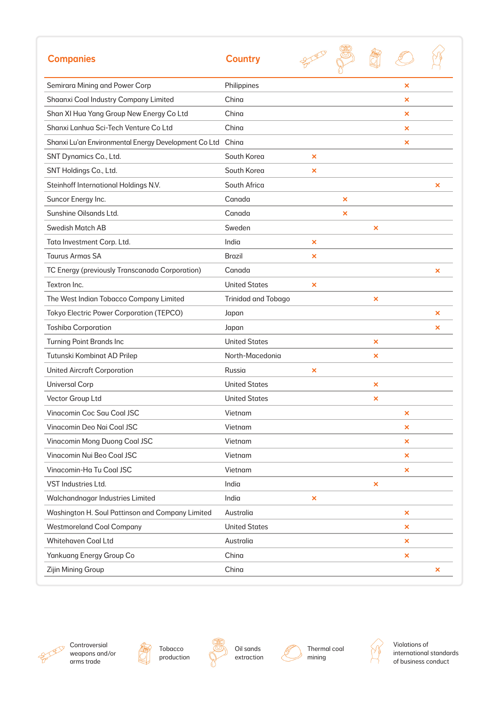| <b>Companies</b>                                     | <b>Country</b>             |                       |   |   |   |                           |
|------------------------------------------------------|----------------------------|-----------------------|---|---|---|---------------------------|
| Semirara Mining and Power Corp                       | Philippines                |                       |   |   | × |                           |
| Shaanxi Coal Industry Company Limited                | China                      |                       |   |   | × |                           |
| Shan XI Hua Yang Group New Energy Co Ltd             | China                      |                       |   |   | × |                           |
| Shanxi Lanhua Sci-Tech Venture Co Ltd                | China                      |                       |   |   | × |                           |
| Shanxi Lu'an Environmental Energy Development Co Ltd | China                      |                       |   |   | × |                           |
| SNT Dynamics Co., Ltd.                               | South Korea                | $\boldsymbol{\times}$ |   |   |   |                           |
| SNT Holdings Co., Ltd.                               | South Korea                | ×                     |   |   |   |                           |
| Steinhoff International Holdings N.V.                | South Africa               |                       |   |   |   | ×                         |
| Suncor Energy Inc.                                   | Canada                     |                       | × |   |   |                           |
| Sunshine Oilsands Ltd.                               | Canada                     |                       | × |   |   |                           |
| <b>Swedish Match AB</b>                              | Sweden                     |                       |   | × |   |                           |
| Tata Investment Corp. Ltd.                           | India                      | ×                     |   |   |   |                           |
| <b>Taurus Armas SA</b>                               | <b>Brazil</b>              | ×                     |   |   |   |                           |
| TC Energy (previously Transcanada Corporation)       | Canada                     |                       |   |   |   | $\boldsymbol{\mathsf{x}}$ |
| Textron Inc.                                         | <b>United States</b>       | ×                     |   |   |   |                           |
| The West Indian Tobacco Company Limited              | <b>Trinidad and Tobago</b> |                       |   | × |   |                           |
| <b>Tokyo Electric Power Corporation (TEPCO)</b>      | Japan                      |                       |   |   |   | ×                         |
| <b>Toshiba Corporation</b>                           | Japan                      |                       |   |   |   | ×                         |
| <b>Turning Point Brands Inc</b>                      | <b>United States</b>       |                       |   | × |   |                           |
| Tutunski Kombinat AD Prilep                          | North-Macedonia            |                       |   | × |   |                           |
| <b>United Aircraft Corporation</b>                   | Russia                     | ×                     |   |   |   |                           |
| <b>Universal Corp</b>                                | <b>United States</b>       |                       |   | × |   |                           |
| Vector Group Ltd                                     | <b>United States</b>       |                       |   | × |   |                           |
| Vinacomin Coc Sau Coal JSC                           | Vietnam                    |                       |   |   | × |                           |
| Vinacomin Deo Nai Coal JSC                           | Vietnam                    |                       |   |   | × |                           |
| Vinacomin Mong Duong Coal JSC                        | Vietnam                    |                       |   |   | × |                           |
| Vinacomin Nui Beo Coal JSC                           | Vietnam                    |                       |   |   | × |                           |
| Vinacomin-Ha Tu Coal JSC                             | Vietnam                    |                       |   |   | × |                           |
| VST Industries Ltd.                                  | India                      |                       |   | × |   |                           |
| Walchandnagar Industries Limited                     | India                      | ×                     |   |   |   |                           |
| Washington H. Soul Pattinson and Company Limited     | Australia                  |                       |   |   | × |                           |
| <b>Westmoreland Coal Company</b>                     | <b>United States</b>       |                       |   |   | × |                           |
| Whitehaven Coal Ltd                                  | Australia                  |                       |   |   | × |                           |
| Yankuang Energy Group Co                             | China                      |                       |   |   | × |                           |
| Zijin Mining Group                                   | China                      |                       |   |   |   | ×                         |









Oil sands extraction



6

Thermal coal mining



Violations of international standards of business conduct